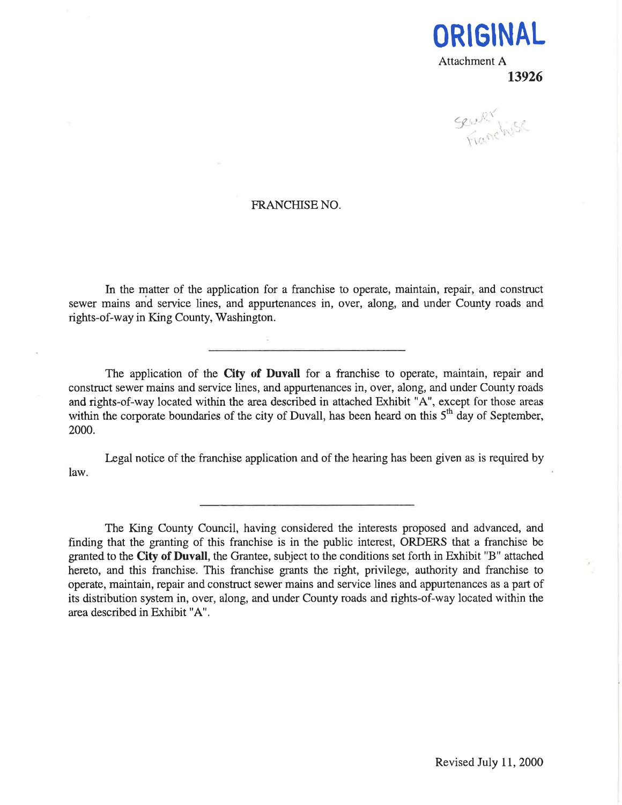

Sewer Kits

#### FRANCHISE NO.

In the matter of the application for a franchise to operate, maintain, repair, and construct sewer mains and service lines, and appurtenances in, over, along, and under County roads and rights-of-way in King County, Washington.

The application of the City of Duvall for a franchise to operate, maintain, repair and construct sewer mains and service lines, and appurtenances in, over, along, and under County roads and rights-of-way located within the area described in attached Exhibit "A", except for those areas within the corporate boundaries of the city of Duvall, has been heard on this  $5<sup>th</sup>$  day of September, 2000.

Legal notice of the franchise application and of the hearing has been given as is required by law.

The King County Council, having considered the interests proposed and advanced, and finding that the granting of this franchise is in the public interest, ORDERS that a franchise be granted to the City of Duvall, the Grantee, subject to the conditions set forth in Exhibit "B" attached hereto, and this franchise. This franchise grants the right, privilege, authority and franchise to operate, maintain, repair and construct sewer mains and service lines and appurtenances as a part of its distribution system in, over, along, and under County roads and rights-of-way located within the area described in Exhibit "A".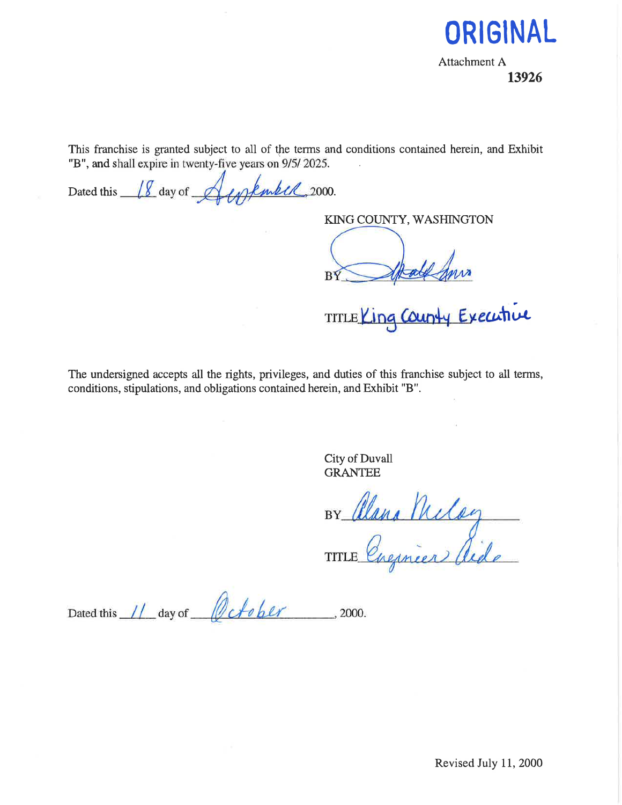

Attachment A 13926

This franchise is granted subject to all of the terms and conditions contained herein, and Exhibit "B", and shall expire in twenty-five years on 9/5/2025.

Dated this <u>18</u> day of Amplement, 2000.

KING COUNTY, WASHINGTON

BY

TITLE Ling County Executive

The undersigned accepts all the rights, privileges, and duties of this franchise subject to all terms, conditions, stipulations, and obligations contained herein, and Exhibit "B".

> City of Duvall GRANTEE

BY Clana Meloy

Dated this 11 day of October  $\frac{1}{2000}$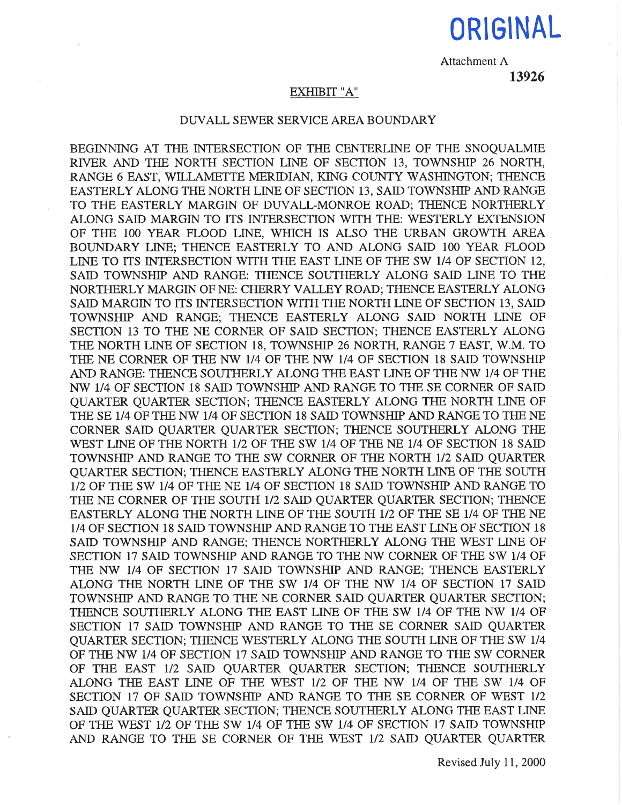# ORIGINAL

Attachment A

## 13926

### EXHIBIT "A"

#### DUVALL SEWER SERVICE AREA BOUNDARY

BEGINNING AT THE INTERSECTION OF THE CENTERLINE OF THE SNOOUALMIE RTVER AND THE NORTH SECTION LINE OF SECTION 13, TOWNSHIP 26 NORTH, RANGE 6 EAST, WILLAMETTE MERIDIAN, KING COUNTY WASHINGTON; THENCE EASTERLY ALONG THE NORTH LINE OF SECTION 13, SAID TOWNSHIP AND RANGE TO THE EASTERLY MARGIN OF DUVALL-MONROE ROAD; THENCE NORTHERLY ALONG SAID MARGIN TO ITS INTERSECTION WITH THE: WESTERLY EXTENSION OF THE 100 YEAR FLOOD LINE, WHICH IS ALSO THE URBAN GROWTH AREA BOUNDARY LINE; THENCE EASTERLY TO AND ALONG SAID 1OO YEAR FLOOD LINE TO ITS INTERSECTION WITH THE EAST LINE OF THE SW 1/4 OF SECTION 12, SAID TOWNSHIP AND RANGE: THENCE SOUTHERLY ALONG SAID LINE TO THE NORTHERLY MARGIN OF NE: CHERRY VALLEY ROAD; THENCE EASTERLY ALONG SAID MARGIN TO ITS INTERSECTION WITH THE NORTH LINE OF SECTION 13, SAID TOWNSHIP AND RANGE; THENCE EASTERLY ALONG SAID NORTH LINE OF SECTION 13 TO THE NE CORNER OF SAID SECTION; THENCE EASTERLY ALONG THE NORTH LINE OF SECTION 18, TOWNSHIP 26 NORTH, RANGE 7 EAST, W.M. TO THE NE CORNER OF THE NW 1/4 OF THE NW 1/4 OF SECTION 18 SAID TOWNSHIP AND RANGE: THENCE SOUTHERLY ALONG THE EAST LINE OF THE NW 1/4 OF THE NW 1/4 OF SECTION 18 SAID TOWNSHIP AND RANGE TO TIIE SE CORNER OF SAID QUARTER QUARTER SECTION; THENCE EASTERLY ALONG TIIE NORTH LINE OF THE SE 1/4 OF THE NW 1/4 OF SECTION 18 SAID TOWNSHIP AND RANGE TO THE NE CORNER SAID QUARTER QUARTER SECTION; THENCE SOUTHERLY ALONG THE WEST LINE OF THE NORTH 1/2 OF THE SW 1/4 OF THE NE 1/4 OF SECTION 18 SAID TOWNSHIP AND RANGE TO THE SW CORNER OF THE NORTH 1/2 SAID QUARTER QUARTER SECTION; TIIENCE EASTERLY ALONG TIIE NORTH LINE OF TIIE SOUTH 1/2 OF THE SW 1/4 OF THE NE 1/4 OF SECTION 18 SAID TOWNSHIP AND RANGE TO THE NE CORNER OF THE SOUTH 1/2 SAID QUARTER QUARTER SECTION; THENCE EASTERLY ALONG THE NORTH LINE OF THE SOUTH 1/2 OF THE SE 1/4 OF THE NE 1/4 OF SECTION 18 SAID TOWNSHIP AND RANGE TO THE EAST LINE OF SECTION 18 SAID TOWNSHIP AND RANGE; THENCE NORTHERLY ALONG THE WEST LINE OF SECTION 17 SAID TOWNSHIP AND RANGE TO THE NW CORNER OF THE SW 1/4 OF THE NW 1/4 OF SECTION 17 SAID TOWNSHIP AND RANGE; THENCE EASTERLY ALONG THE NORTH LINE OF THE SW 1/4 OF THE NW 1/4 OF SECTION 17 SAID TOWNSHIP AND RANGE TO THE NE CORNER SAID QUARTER QUARTER SECTION; THENCE SOUTHERLY ALONG THE EAST LINE OF THE SW 1/4 OF THE NW 1/4 OF SECTION 17 SAID TOWNSHIP AND RANGE TO THE SE CORNER SAID QUARTER QUARTER SECTION; THENCE WESTERLY ALONG THE SOUTH LINE OF THE SW 1/4 OF THE NW 1/4 OF SECTION 17 SAID TOWNSHIP AND RANGE TO THE SW CORNER OF THE EAST 1/2 SAID OUARTER QUARTER SECTION; THENCE SOUTHERLY ALONG THE EAST LINE OF THE WEST 1/2 OF THE NW 1/4 OF THE SW 1/4 OF SECTION 17 OF SAID TOWNSHIP AND RANGE TO THE SE CORNER OF WEST 1/2 SAID QUARTER QUARTER SECTION; THENCE SOUTHERLY ALONG THE EAST LINE OF THE WEST 1/2 OF THE SW 1/4 OF THE SW 1/4 OF SECTION 17 SAID TOWNSHIP AND RANGE TO THE SE CORNER OF THE WEST 1/2 SAID QUARTER QUARTER